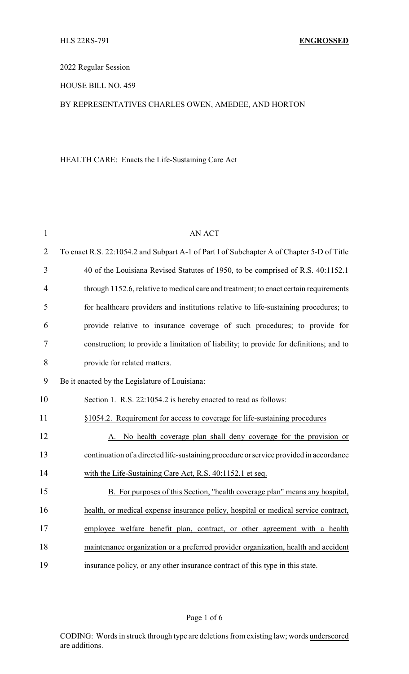2022 Regular Session

HOUSE BILL NO. 459

## BY REPRESENTATIVES CHARLES OWEN, AMEDEE, AND HORTON

HEALTH CARE: Enacts the Life-Sustaining Care Act

| $\mathbf{1}$   | <b>AN ACT</b>                                                                             |
|----------------|-------------------------------------------------------------------------------------------|
| $\overline{2}$ | To enact R.S. 22:1054.2 and Subpart A-1 of Part I of Subchapter A of Chapter 5-D of Title |
| 3              | 40 of the Louisiana Revised Statutes of 1950, to be comprised of R.S. 40:1152.1           |
| 4              | through 1152.6, relative to medical care and treatment; to enact certain requirements     |
| 5              | for healthcare providers and institutions relative to life-sustaining procedures; to      |
| 6              | provide relative to insurance coverage of such procedures; to provide for                 |
| 7              | construction; to provide a limitation of liability; to provide for definitions; and to    |
| 8              | provide for related matters.                                                              |
| 9              | Be it enacted by the Legislature of Louisiana:                                            |
| 10             | Section 1. R.S. 22:1054.2 is hereby enacted to read as follows:                           |
| 11             | §1054.2. Requirement for access to coverage for life-sustaining procedures                |
| 12             | A. No health coverage plan shall deny coverage for the provision or                       |
| 13             | continuation of a directed life-sustaining procedure or service provided in accordance    |
| 14             | with the Life-Sustaining Care Act, R.S. 40:1152.1 et seq.                                 |
| 15             | B. For purposes of this Section, "health coverage plan" means any hospital,               |
| 16             | health, or medical expense insurance policy, hospital or medical service contract,        |
| 17             | employee welfare benefit plan, contract, or other agreement with a health                 |
| 18             | maintenance organization or a preferred provider organization, health and accident        |
| 19             | insurance policy, or any other insurance contract of this type in this state.             |

Page 1 of 6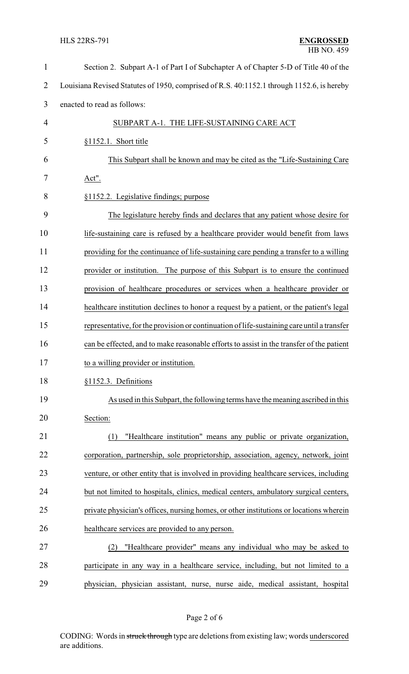| $\mathbf{1}$   | Section 2. Subpart A-1 of Part I of Subchapter A of Chapter 5-D of Title 40 of the         |
|----------------|--------------------------------------------------------------------------------------------|
| $\overline{2}$ | Louisiana Revised Statutes of 1950, comprised of R.S. 40:1152.1 through 1152.6, is hereby  |
| 3              | enacted to read as follows:                                                                |
| $\overline{4}$ | SUBPART A-1. THE LIFE-SUSTAINING CARE ACT                                                  |
| 5              | §1152.1. Short title                                                                       |
| 6              | This Subpart shall be known and may be cited as the "Life-Sustaining Care"                 |
| 7              | Act".                                                                                      |
| 8              | §1152.2. Legislative findings; purpose                                                     |
| 9              | The legislature hereby finds and declares that any patient whose desire for                |
| 10             | life-sustaining care is refused by a healthcare provider would benefit from laws           |
| 11             | providing for the continuance of life-sustaining care pending a transfer to a willing      |
| 12             | provider or institution. The purpose of this Subpart is to ensure the continued            |
| 13             | provision of healthcare procedures or services when a healthcare provider or               |
| 14             | healthcare institution declines to honor a request by a patient, or the patient's legal    |
| 15             | representative, for the provision or continuation of life-sustaining care until a transfer |
| 16             | can be effected, and to make reasonable efforts to assist in the transfer of the patient   |
| 17             | to a willing provider or institution.                                                      |
| 18             | §1152.3. Definitions                                                                       |
| 19             | As used in this Subpart, the following terms have the meaning ascribed in this             |
| 20             | Section:                                                                                   |
| 21             | "Healthcare institution" means any public or private organization,<br>(1)                  |
| 22             | corporation, partnership, sole proprietorship, association, agency, network, joint         |
| 23             | venture, or other entity that is involved in providing healthcare services, including      |
| 24             | but not limited to hospitals, clinics, medical centers, ambulatory surgical centers,       |
| 25             | private physician's offices, nursing homes, or other institutions or locations wherein     |
| 26             | healthcare services are provided to any person.                                            |
| 27             | "Healthcare provider" means any individual who may be asked to<br>(2)                      |
| 28             | participate in any way in a healthcare service, including, but not limited to a            |
| 29             | physician, physician assistant, nurse, nurse aide, medical assistant, hospital             |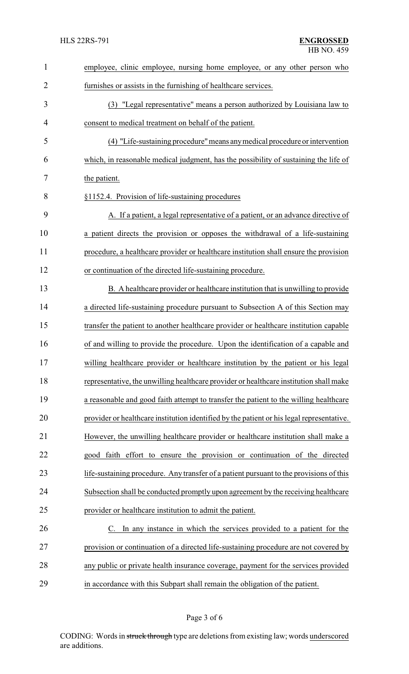| $\mathbf{1}$   | employee, clinic employee, nursing home employee, or any other person who                 |
|----------------|-------------------------------------------------------------------------------------------|
| $\overline{2}$ | furnishes or assists in the furnishing of healthcare services.                            |
| 3              | (3) "Legal representative" means a person authorized by Louisiana law to                  |
| 4              | consent to medical treatment on behalf of the patient.                                    |
| 5              | (4) "Life-sustaining procedure" means any medical procedure or intervention               |
| 6              | which, in reasonable medical judgment, has the possibility of sustaining the life of      |
| 7              | the patient.                                                                              |
| 8              | §1152.4. Provision of life-sustaining procedures                                          |
| 9              | A. If a patient, a legal representative of a patient, or an advance directive of          |
| 10             | a patient directs the provision or opposes the withdrawal of a life-sustaining            |
| 11             | procedure, a healthcare provider or healthcare institution shall ensure the provision     |
| 12             | or continuation of the directed life-sustaining procedure.                                |
| 13             | B. A healthcare provider or healthcare institution that is unwilling to provide           |
| 14             | a directed life-sustaining procedure pursuant to Subsection A of this Section may         |
| 15             | transfer the patient to another healthcare provider or healthcare institution capable     |
| 16             | of and willing to provide the procedure. Upon the identification of a capable and         |
| 17             | willing healthcare provider or healthcare institution by the patient or his legal         |
| 18             | representative, the unwilling healthcare provider or healthcare institution shall make    |
| 19             | a reasonable and good faith attempt to transfer the patient to the willing healthcare     |
| 20             | provider or healthcare institution identified by the patient or his legal representative. |
| 21             | However, the unwilling healthcare provider or healthcare institution shall make a         |
| 22             | good faith effort to ensure the provision or continuation of the directed                 |
| 23             | life-sustaining procedure. Any transfer of a patient pursuant to the provisions of this   |
| 24             | Subsection shall be conducted promptly upon agreement by the receiving healthcare         |
| 25             | provider or healthcare institution to admit the patient.                                  |
| 26             | In any instance in which the services provided to a patient for the<br>$\mathbf{C}$ .     |
| 27             | provision or continuation of a directed life-sustaining procedure are not covered by      |
| 28             | any public or private health insurance coverage, payment for the services provided        |
| 29             | in accordance with this Subpart shall remain the obligation of the patient.               |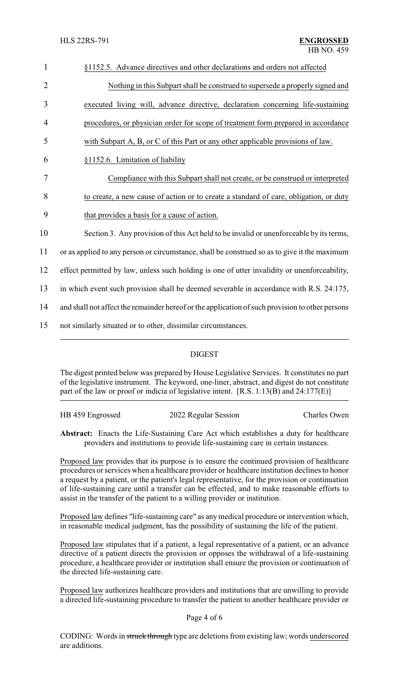| $\mathbf{1}$   | §1152.5. Advance directives and other declarations and orders not affected                      |  |  |  |
|----------------|-------------------------------------------------------------------------------------------------|--|--|--|
| $\overline{2}$ | Nothing in this Subpart shall be construed to supersede a properly signed and                   |  |  |  |
| 3              | executed living will, advance directive, declaration concerning life-sustaining                 |  |  |  |
| 4              | procedures, or physician order for scope of treatment form prepared in accordance               |  |  |  |
| 5              | with Subpart A, B, or C of this Part or any other applicable provisions of law.                 |  |  |  |
| 6              | §1152.6. Limitation of liability                                                                |  |  |  |
| $\overline{7}$ | Compliance with this Subpart shall not create, or be construed or interpreted                   |  |  |  |
| 8              | to create, a new cause of action or to create a standard of care, obligation, or duty           |  |  |  |
| 9              | that provides a basis for a cause of action.                                                    |  |  |  |
| 10             | Section 3. Any provision of this Act held to be invalid or unenforceable by its terms,          |  |  |  |
| 11             | or as applied to any person or circumstance, shall be construed so as to give it the maximum    |  |  |  |
| 12             | effect permitted by law, unless such holding is one of utter invalidity or unenforceability,    |  |  |  |
| 13             | in which event such provision shall be deemed severable in accordance with R.S. 24:175,         |  |  |  |
| 14             | and shall not affect the remainder hereof or the application of such provision to other persons |  |  |  |
| 15             | not similarly situated or to other, dissimilar circumstances.                                   |  |  |  |
|                |                                                                                                 |  |  |  |

## DIGEST

The digest printed below was prepared by House Legislative Services. It constitutes no part of the legislative instrument. The keyword, one-liner, abstract, and digest do not constitute part of the law or proof or indicia of legislative intent. [R.S. 1:13(B) and 24:177(E)]

| HB 459 Engrossed | 2022 Regular Session | Charles Owen |
|------------------|----------------------|--------------|
|                  |                      |              |

**Abstract:** Enacts the Life-Sustaining Care Act which establishes a duty for healthcare providers and institutions to provide life-sustaining care in certain instances.

Proposed law provides that its purpose is to ensure the continued provision of healthcare procedures or services when a healthcare provider or healthcare institution declines to honor a request by a patient, or the patient's legal representative, for the provision or continuation of life-sustaining care until a transfer can be effected, and to make reasonable efforts to assist in the transfer of the patient to a willing provider or institution.

Proposed law defines "life-sustaining care" as anymedical procedure or intervention which, in reasonable medical judgment, has the possibility of sustaining the life of the patient.

Proposed law stipulates that if a patient, a legal representative of a patient, or an advance directive of a patient directs the provision or opposes the withdrawal of a life-sustaining procedure, a healthcare provider or institution shall ensure the provision or continuation of the directed life-sustaining care.

Proposed law authorizes healthcare providers and institutions that are unwilling to provide a directed life-sustaining procedure to transfer the patient to another healthcare provider or

## Page 4 of 6

CODING: Words in struck through type are deletions from existing law; words underscored are additions.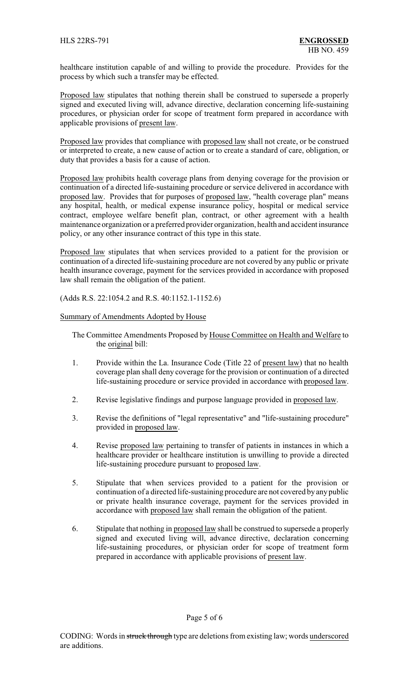healthcare institution capable of and willing to provide the procedure. Provides for the process by which such a transfer may be effected.

Proposed law stipulates that nothing therein shall be construed to supersede a properly signed and executed living will, advance directive, declaration concerning life-sustaining procedures, or physician order for scope of treatment form prepared in accordance with applicable provisions of present law.

Proposed law provides that compliance with proposed law shall not create, or be construed or interpreted to create, a new cause of action or to create a standard of care, obligation, or duty that provides a basis for a cause of action.

Proposed law prohibits health coverage plans from denying coverage for the provision or continuation of a directed life-sustaining procedure or service delivered in accordance with proposed law. Provides that for purposes of proposed law, "health coverage plan" means any hospital, health, or medical expense insurance policy, hospital or medical service contract, employee welfare benefit plan, contract, or other agreement with a health maintenance organization or a preferred provider organization, health and accident insurance policy, or any other insurance contract of this type in this state.

Proposed law stipulates that when services provided to a patient for the provision or continuation of a directed life-sustaining procedure are not covered by any public or private health insurance coverage, payment for the services provided in accordance with proposed law shall remain the obligation of the patient.

(Adds R.S. 22:1054.2 and R.S. 40:1152.1-1152.6)

## Summary of Amendments Adopted by House

- The Committee Amendments Proposed by House Committee on Health and Welfare to the original bill:
- 1. Provide within the La. Insurance Code (Title 22 of present law) that no health coverage plan shall deny coverage for the provision or continuation of a directed life-sustaining procedure or service provided in accordance with proposed law.
- 2. Revise legislative findings and purpose language provided in proposed law.
- 3. Revise the definitions of "legal representative" and "life-sustaining procedure" provided in proposed law.
- 4. Revise proposed law pertaining to transfer of patients in instances in which a healthcare provider or healthcare institution is unwilling to provide a directed life-sustaining procedure pursuant to proposed law.
- 5. Stipulate that when services provided to a patient for the provision or continuation of a directed life-sustaining procedure are not covered by any public or private health insurance coverage, payment for the services provided in accordance with proposed law shall remain the obligation of the patient.
- 6. Stipulate that nothing in proposed law shall be construed to supersede a properly signed and executed living will, advance directive, declaration concerning life-sustaining procedures, or physician order for scope of treatment form prepared in accordance with applicable provisions of present law.